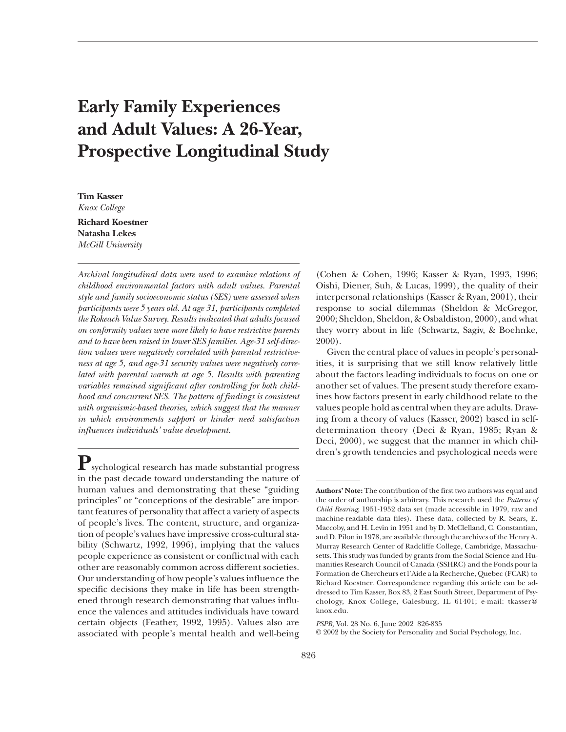# **Early Family Experiences and Adult Values: A 26-Year, Prospective Longitudinal Study**

**Tim Kasser** *Knox College*

**Richard Koestner Natasha Lekes** *McGill University*

*Archival longitudinal data were used to examine relations of childhood environmental factors with adult values. Parental style and family socioeconomic status (SES) were assessed when participants were 5 years old. At age 31, participants completed the Rokeach Value Survey. Results indicated that adults focused on conformity values were more likely to have restrictive parents and to have been raised in lower SES families. Age-31 self-direction values were negatively correlated with parental restrictive*ness at age 5, and age-31 security values were negatively corre*lated with parental warmth at age 5. Results with parenting variables remained significant after controlling for both childhood and concurrent SES. The pattern of findings is consistent* with organismic-based theories, which suggest that the manner *in which environments support or hinder need satisfaction influences individuals' value development.*

**P**sychological research has made substantial progress in the past decade toward understanding the nature of human values and demonstrating that these "guiding principles" or "conceptions of the desirable" are important features of personality that affect a variety of aspects of people's lives. The content, structure, and organization of people's values have impressive cross-cultural stability (Schwartz, 1992, 1996), implying that the values people experience as consistent or conflictual with each other are reasonably common across different societies. Our understanding of how people's values influence the specific decisions they make in life has been strengthened through research demonstrating that values influence the valences and attitudes individuals have toward certain objects (Feather, 1992, 1995). Values also are associated with people's mental health and well-being

(Cohen & Cohen, 1996; Kasser & Ryan, 1993, 1996; Oishi, Diener, Suh, & Lucas, 1999), the quality of their interpersonal relationships (Kasser & Ryan, 2001), their response to social dilemmas (Sheldon & McGregor, 2000; Sheldon, Sheldon, & Osbaldiston, 2000), and what they worry about in life (Schwartz, Sagiv, & Boehnke, 2000).

Given the central place of values in people's personalities, it is surprising that we still know relatively little about the factors leading individuals to focus on one or another set of values. The present study therefore examines how factors present in early childhood relate to the values people hold as central when they are adults. Drawing from a theory of values (Kasser, 2002) based in selfdetermination theory (Deci & Ryan, 1985; Ryan & Deci, 2000), we suggest that the manner in which children's growth tendencies and psychological needs were

*PSPB,* Vol. 28 No. 6, June 2002 826-835

© 2002 by the Society for Personality and Social Psychology, Inc.

**Authors' Note:** The contribution of the first two authors was equal and the order of authorship is arbitrary. This research used the *Patterns of Child Rearing*, 1951-1952 data set (made accessible in 1979, raw and machine-readable data files). These data, collected by R. Sears, E. Maccoby, and H. Levin in 1951 and by D. McClelland, C. Constantian, and D. Pilon in 1978, are available through the archives of the Henry A. Murray Research Center of Radcliffe College, Cambridge, Massachusetts. This study was funded by grants from the Social Science and Humanities Research Council of Canada (SSHRC) and the Fonds pour la Formation de Chercheurs et l'Aide a la Recherche, Quebec (FCAR) to Richard Koestner. Correspondence regarding this article can be addressed to Tim Kasser, Box 83, 2 East South Street, Department of Psychology, Knox College, Galesburg, IL 61401; e-mail: tkasser@ knox.edu.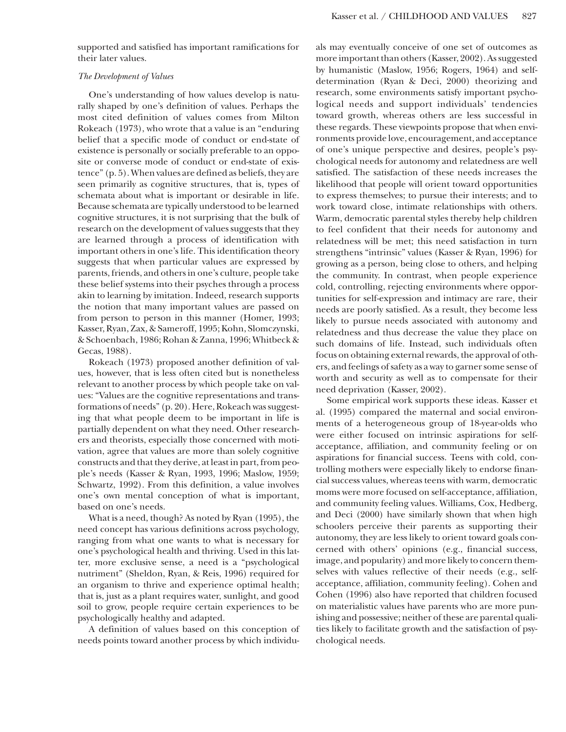supported and satisfied has important ramifications for their later values.

# *The Development of Values*

One's understanding of how values develop is naturally shaped by one's definition of values. Perhaps the most cited definition of values comes from Milton Rokeach (1973), who wrote that a value is an "enduring belief that a specific mode of conduct or end-state of existence is personally or socially preferable to an opposite or converse mode of conduct or end-state of existence" (p. 5). When values are defined as beliefs, they are seen primarily as cognitive structures, that is, types of schemata about what is important or desirable in life. Because schemata are typically understood to be learned cognitive structures, it is not surprising that the bulk of research on the development of values suggests that they are learned through a process of identification with important others in one's life. This identification theory suggests that when particular values are expressed by parents, friends, and others in one's culture, people take these belief systems into their psyches through a process akin to learning by imitation. Indeed, research supports the notion that many important values are passed on from person to person in this manner (Homer, 1993; Kasser, Ryan, Zax, & Sameroff, 1995; Kohn, Slomczynski, & Schoenbach, 1986; Rohan & Zanna, 1996; Whitbeck & Gecas, 1988).

Rokeach (1973) proposed another definition of values, however, that is less often cited but is nonetheless relevant to another process by which people take on values: "Values are the cognitive representations and transformations of needs" (p. 20). Here, Rokeach was suggesting that what people deem to be important in life is partially dependent on what they need. Other researchers and theorists, especially those concerned with motivation, agree that values are more than solely cognitive constructs and that they derive, at least in part, from people's needs (Kasser & Ryan, 1993, 1996; Maslow, 1959; Schwartz, 1992). From this definition, a value involves one's own mental conception of what is important, based on one's needs.

What is a need, though? As noted by Ryan (1995), the need concept has various definitions across psychology, ranging from what one wants to what is necessary for one's psychological health and thriving. Used in this latter, more exclusive sense, a need is a "psychological nutriment" (Sheldon, Ryan, & Reis, 1996) required for an organism to thrive and experience optimal health; that is, just as a plant requires water, sunlight, and good soil to grow, people require certain experiences to be psychologically healthy and adapted.

A definition of values based on this conception of needs points toward another process by which individuals may eventually conceive of one set of outcomes as more important than others (Kasser, 2002). As suggested by humanistic (Maslow, 1956; Rogers, 1964) and selfdetermination (Ryan & Deci, 2000) theorizing and research, some environments satisfy important psychological needs and support individuals' tendencies toward growth, whereas others are less successful in these regards. These viewpoints propose that when environments provide love, encouragement, and acceptance of one's unique perspective and desires, people's psychological needs for autonomy and relatedness are well satisfied. The satisfaction of these needs increases the likelihood that people will orient toward opportunities to express themselves; to pursue their interests; and to work toward close, intimate relationships with others. Warm, democratic parental styles thereby help children to feel confident that their needs for autonomy and relatedness will be met; this need satisfaction in turn strengthens "intrinsic" values (Kasser & Ryan, 1996) for growing as a person, being close to others, and helping the community. In contrast, when people experience cold, controlling, rejecting environments where opportunities for self-expression and intimacy are rare, their needs are poorly satisfied. As a result, they become less likely to pursue needs associated with autonomy and relatedness and thus decrease the value they place on such domains of life. Instead, such individuals often focus on obtaining external rewards, the approval of others, and feelings of safety as a way to garner some sense of worth and security as well as to compensate for their need deprivation (Kasser, 2002).

Some empirical work supports these ideas. Kasser et al. (1995) compared the maternal and social environments of a heterogeneous group of 18-year-olds who were either focused on intrinsic aspirations for selfacceptance, affiliation, and community feeling or on aspirations for financial success. Teens with cold, controlling mothers were especially likely to endorse financial success values, whereas teens with warm, democratic moms were more focused on self-acceptance, affiliation, and community feeling values. Williams, Cox, Hedberg, and Deci (2000) have similarly shown that when high schoolers perceive their parents as supporting their autonomy, they are less likely to orient toward goals concerned with others' opinions (e.g., financial success, image, and popularity) and more likely to concern themselves with values reflective of their needs (e.g., selfacceptance, affiliation, community feeling). Cohen and Cohen (1996) also have reported that children focused on materialistic values have parents who are more punishing and possessive; neither of these are parental qualities likely to facilitate growth and the satisfaction of psychological needs.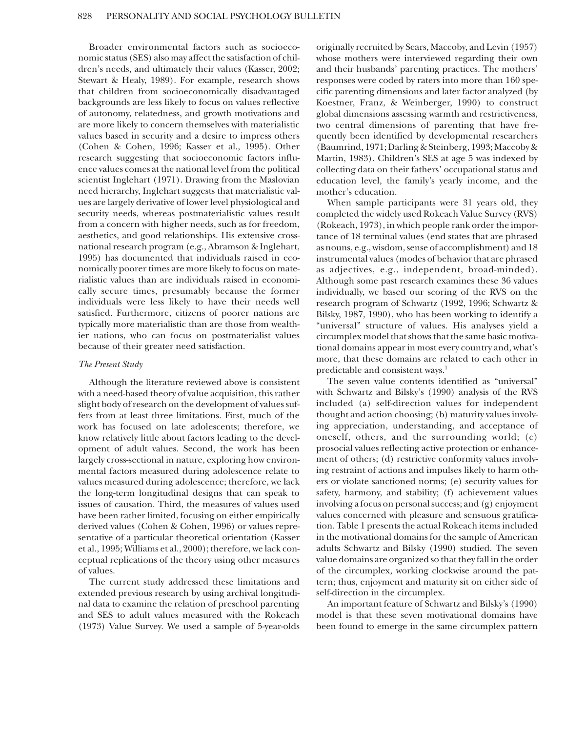Broader environmental factors such as socioeconomic status (SES) also may affect the satisfaction of children's needs, and ultimately their values (Kasser, 2002; Stewart & Healy, 1989). For example, research shows that children from socioeconomically disadvantaged backgrounds are less likely to focus on values reflective of autonomy, relatedness, and growth motivations and are more likely to concern themselves with materialistic values based in security and a desire to impress others (Cohen & Cohen, 1996; Kasser et al., 1995). Other research suggesting that socioeconomic factors influence values comes at the national level from the political scientist Inglehart (1971). Drawing from the Maslovian need hierarchy, Inglehart suggests that materialistic values are largely derivative of lower level physiological and security needs, whereas postmaterialistic values result from a concern with higher needs, such as for freedom, aesthetics, and good relationships. His extensive crossnational research program (e.g., Abramson & Inglehart, 1995) has documented that individuals raised in economically poorer times are more likely to focus on materialistic values than are individuals raised in economically secure times, presumably because the former individuals were less likely to have their needs well satisfied. Furthermore, citizens of poorer nations are typically more materialistic than are those from wealthier nations, who can focus on postmaterialist values because of their greater need satisfaction.

## *The Present Study*

Although the literature reviewed above is consistent with a need-based theory of value acquisition, this rather slight body of research on the development of values suffers from at least three limitations. First, much of the work has focused on late adolescents; therefore, we know relatively little about factors leading to the development of adult values. Second, the work has been largely cross-sectional in nature, exploring how environmental factors measured during adolescence relate to values measured during adolescence; therefore, we lack the long-term longitudinal designs that can speak to issues of causation. Third, the measures of values used have been rather limited, focusing on either empirically derived values (Cohen & Cohen, 1996) or values representative of a particular theoretical orientation (Kasser et al., 1995; Williams et al., 2000); therefore, we lack conceptual replications of the theory using other measures of values.

The current study addressed these limitations and extended previous research by using archival longitudinal data to examine the relation of preschool parenting and SES to adult values measured with the Rokeach (1973) Value Survey. We used a sample of 5-year-olds originally recruited by Sears, Maccoby, and Levin (1957) whose mothers were interviewed regarding their own and their husbands' parenting practices. The mothers' responses were coded by raters into more than 160 specific parenting dimensions and later factor analyzed (by Koestner, Franz, & Weinberger, 1990) to construct global dimensions assessing warmth and restrictiveness, two central dimensions of parenting that have frequently been identified by developmental researchers (Baumrind, 1971; Darling & Steinberg, 1993; Maccoby & Martin, 1983). Children's SES at age 5 was indexed by collecting data on their fathers' occupational status and education level, the family's yearly income, and the mother's education.

When sample participants were 31 years old, they completed the widely used Rokeach Value Survey (RVS) (Rokeach, 1973), in which people rank order the importance of 18 terminal values (end states that are phrased as nouns, e.g., wisdom, sense of accomplishment) and 18 instrumental values (modes of behavior that are phrased as adjectives, e.g., independent, broad-minded). Although some past research examines these 36 values individually, we based our scoring of the RVS on the research program of Schwartz (1992, 1996; Schwartz & Bilsky, 1987, 1990), who has been working to identify a "universal" structure of values. His analyses yield a circumplex model that shows that the same basic motivational domains appear in most every country and, what's more, that these domains are related to each other in predictable and consistent ways.<sup>1</sup>

The seven value contents identified as "universal" with Schwartz and Bilsky's (1990) analysis of the RVS included (a) self-direction values for independent thought and action choosing; (b) maturity values involving appreciation, understanding, and acceptance of oneself, others, and the surrounding world; (c) prosocial values reflecting active protection or enhancement of others; (d) restrictive conformity values involving restraint of actions and impulses likely to harm others or violate sanctioned norms; (e) security values for safety, harmony, and stability; (f) achievement values involving a focus on personal success; and (g) enjoyment values concerned with pleasure and sensuous gratification. Table 1 presents the actual Rokeach items included in the motivational domains for the sample of American adults Schwartz and Bilsky (1990) studied. The seven value domains are organized so that they fall in the order of the circumplex, working clockwise around the pattern; thus, enjoyment and maturity sit on either side of self-direction in the circumplex.

An important feature of Schwartz and Bilsky's (1990) model is that these seven motivational domains have been found to emerge in the same circumplex pattern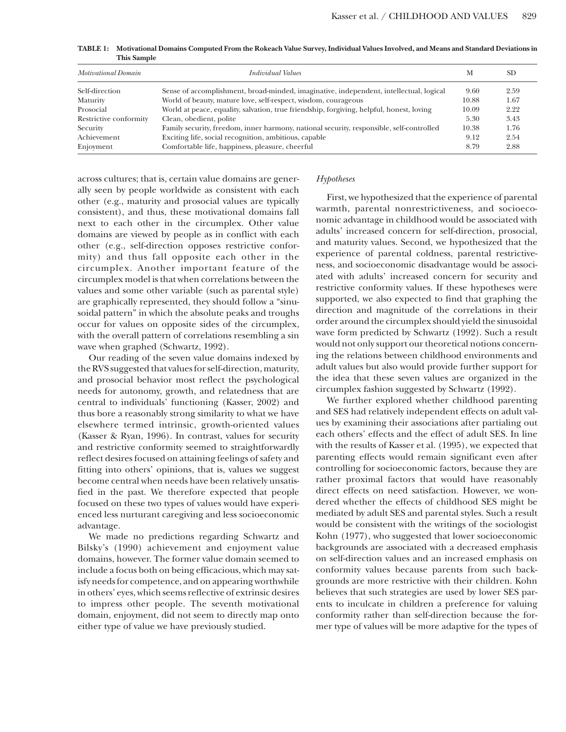| <b>Motivational Domain</b> | <i>Individual Values</i>                                                                 | M     | <b>SD</b> |
|----------------------------|------------------------------------------------------------------------------------------|-------|-----------|
| Self-direction             | Sense of accomplishment, broad-minded, imaginative, independent, intellectual, logical   | 9.60  | 2.59      |
| Maturity                   | World of beauty, mature love, self-respect, wisdom, courageous                           | 10.88 | 1.67      |
| Prosocial                  | World at peace, equality, salvation, true friendship, forgiving, helpful, honest, loving | 10.09 | 2.22      |
| Restrictive conformity     | Clean, obedient, polite                                                                  | 5.30  | 3.43      |
| Security                   | Family security, freedom, inner harmony, national security, responsible, self-controlled | 10.38 | 1.76      |
| Achievement                | Exciting life, social recognition, ambitious, capable                                    | 9.12  | 2.54      |
| Enjoyment                  | Comfortable life, happiness, pleasure, cheerful                                          | 8.79  | 2.88      |

**TABLE 1: Motivational Domains Computed From the Rokeach Value Survey, Individual Values Involved, and Means and Standard Deviations in This Sample**

across cultures; that is, certain value domains are generally seen by people worldwide as consistent with each other (e.g., maturity and prosocial values are typically consistent), and thus, these motivational domains fall next to each other in the circumplex. Other value domains are viewed by people as in conflict with each other (e.g., self-direction opposes restrictive conformity) and thus fall opposite each other in the circumplex. Another important feature of the circumplex model is that when correlations between the values and some other variable (such as parental style) are graphically represented, they should follow a "sinusoidal pattern" in which the absolute peaks and troughs occur for values on opposite sides of the circumplex, with the overall pattern of correlations resembling a sin wave when graphed (Schwartz, 1992).

Our reading of the seven value domains indexed by the RVS suggested that values for self-direction, maturity, and prosocial behavior most reflect the psychological needs for autonomy, growth, and relatedness that are central to individuals' functioning (Kasser, 2002) and thus bore a reasonably strong similarity to what we have elsewhere termed intrinsic, growth-oriented values (Kasser & Ryan, 1996). In contrast, values for security and restrictive conformity seemed to straightforwardly reflect desires focused on attaining feelings of safety and fitting into others' opinions, that is, values we suggest become central when needs have been relatively unsatisfied in the past. We therefore expected that people focused on these two types of values would have experienced less nurturant caregiving and less socioeconomic advantage.

We made no predictions regarding Schwartz and Bilsky's (1990) achievement and enjoyment value domains, however. The former value domain seemed to include a focus both on being efficacious, which may satisfy needs for competence, and on appearing worthwhile in others' eyes, which seems reflective of extrinsic desires to impress other people. The seventh motivational domain, enjoyment, did not seem to directly map onto either type of value we have previously studied.

# *Hypotheses*

First, we hypothesized that the experience of parental warmth, parental nonrestrictiveness, and socioeconomic advantage in childhood would be associated with adults' increased concern for self-direction, prosocial, and maturity values. Second, we hypothesized that the experience of parental coldness, parental restrictiveness, and socioeconomic disadvantage would be associated with adults' increased concern for security and restrictive conformity values. If these hypotheses were supported, we also expected to find that graphing the direction and magnitude of the correlations in their order around the circumplex should yield the sinusoidal wave form predicted by Schwartz (1992). Such a result would not only support our theoretical notions concerning the relations between childhood environments and adult values but also would provide further support for the idea that these seven values are organized in the circumplex fashion suggested by Schwartz (1992).

We further explored whether childhood parenting and SES had relatively independent effects on adult values by examining their associations after partialing out each others' effects and the effect of adult SES. In line with the results of Kasser et al. (1995), we expected that parenting effects would remain significant even after controlling for socioeconomic factors, because they are rather proximal factors that would have reasonably direct effects on need satisfaction. However, we wondered whether the effects of childhood SES might be mediated by adult SES and parental styles. Such a result would be consistent with the writings of the sociologist Kohn (1977), who suggested that lower socioeconomic backgrounds are associated with a decreased emphasis on self-direction values and an increased emphasis on conformity values because parents from such backgrounds are more restrictive with their children. Kohn believes that such strategies are used by lower SES parents to inculcate in children a preference for valuing conformity rather than self-direction because the former type of values will be more adaptive for the types of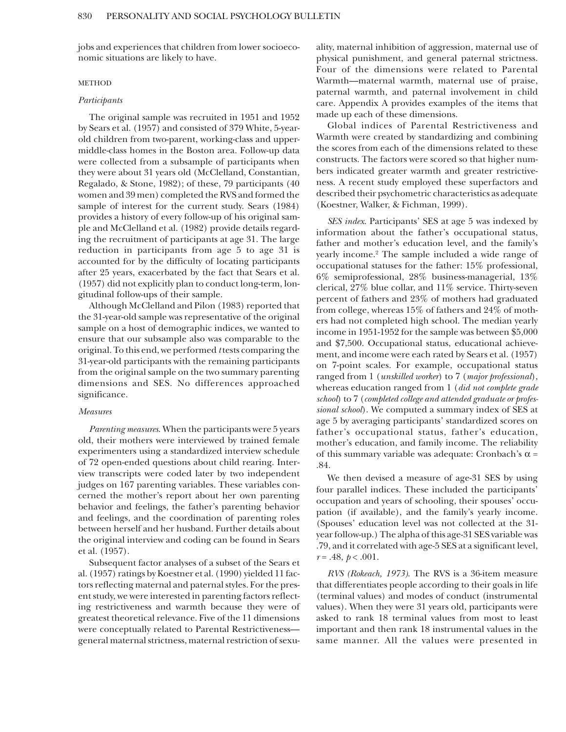jobs and experiences that children from lower socioeconomic situations are likely to have.

#### METHOD

## *Participants*

The original sample was recruited in 1951 and 1952 by Sears et al. (1957) and consisted of 379 White, 5-yearold children from two-parent, working-class and uppermiddle-class homes in the Boston area. Follow-up data were collected from a subsample of participants when they were about 31 years old (McClelland, Constantian, Regalado, & Stone, 1982); of these, 79 participants (40 women and 39 men) completed the RVS and formed the sample of interest for the current study. Sears (1984) provides a history of every follow-up of his original sample and McClelland et al. (1982) provide details regarding the recruitment of participants at age 31. The large reduction in participants from age 5 to age 31 is accounted for by the difficulty of locating participants after 25 years, exacerbated by the fact that Sears et al. (1957) did not explicitly plan to conduct long-term, longitudinal follow-ups of their sample.

Although McClelland and Pilon (1983) reported that the 31-year-old sample was representative of the original sample on a host of demographic indices, we wanted to ensure that our subsample also was comparable to the original. To this end, we performed *t* tests comparing the 31-year-old participants with the remaining participants from the original sample on the two summary parenting dimensions and SES. No differences approached significance.

### *Measures*

*Parenting measures*. When the participants were 5 years old, their mothers were interviewed by trained female experimenters using a standardized interview schedule of 72 open-ended questions about child rearing. Interview transcripts were coded later by two independent judges on 167 parenting variables. These variables concerned the mother's report about her own parenting behavior and feelings, the father's parenting behavior and feelings, and the coordination of parenting roles between herself and her husband. Further details about the original interview and coding can be found in Sears et al. (1957).

Subsequent factor analyses of a subset of the Sears et al. (1957) ratings by Koestner et al. (1990) yielded 11 factors reflecting maternal and paternal styles. For the present study, we were interested in parenting factors reflecting restrictiveness and warmth because they were of greatest theoretical relevance. Five of the 11 dimensions were conceptually related to Parental Restrictiveness general maternal strictness, maternal restriction of sexuality, maternal inhibition of aggression, maternal use of physical punishment, and general paternal strictness. Four of the dimensions were related to Parental Warmth—maternal warmth, maternal use of praise, paternal warmth, and paternal involvement in child care. Appendix A provides examples of the items that made up each of these dimensions.

Global indices of Parental Restrictiveness and Warmth were created by standardizing and combining the scores from each of the dimensions related to these constructs. The factors were scored so that higher numbers indicated greater warmth and greater restrictiveness. A recent study employed these superfactors and described their psychometric characteristics as adequate (Koestner, Walker, & Fichman, 1999).

*SES index*. Participants' SES at age 5 was indexed by information about the father's occupational status, father and mother's education level, and the family's yearly income.2 The sample included a wide range of occupational statuses for the father: 15% professional, 6% semiprofessional, 28% business-managerial, 13% clerical, 27% blue collar, and 11% service. Thirty-seven percent of fathers and 23% of mothers had graduated from college, whereas 15% of fathers and 24% of mothers had not completed high school. The median yearly income in 1951-1952 for the sample was between \$5,000 and \$7,500. Occupational status, educational achievement, and income were each rated by Sears et al. (1957) on 7-point scales. For example, occupational status ranged from 1 (*unskilled worker*) to 7 (*major professional*), whereas education ranged from 1 (*did not complete grade school*) to 7 (*completed college and attended graduate or professional school*). We computed a summary index of SES at age 5 by averaging participants' standardized scores on father's occupational status, father's education, mother's education, and family income. The reliability of this summary variable was adequate: Cronbach's  $\alpha$  = .84.

We then devised a measure of age-31 SES by using four parallel indices. These included the participants' occupation and years of schooling, their spouses' occupation (if available), and the family's yearly income. (Spouses' education level was not collected at the 31 year follow-up.) The alpha of this age-31 SES variable was .79, and it correlated with age-5 SES at a significant level, *r* = .48, *p* < .001.

*RVS (Rokeach,1973)*. The RVS is a 36-item measure that differentiates people according to their goals in life (terminal values) and modes of conduct (instrumental values). When they were 31 years old, participants were asked to rank 18 terminal values from most to least important and then rank 18 instrumental values in the same manner. All the values were presented in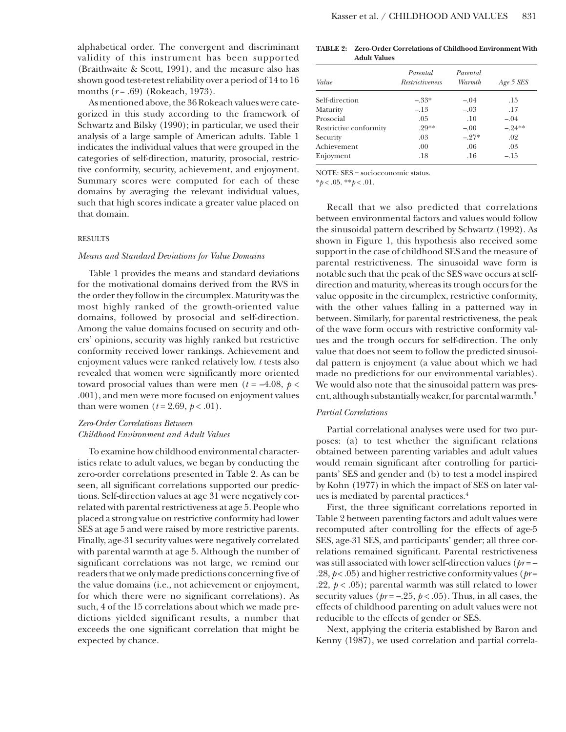alphabetical order. The convergent and discriminant validity of this instrument has been supported (Braithwaite & Scott, 1991), and the measure also has shown good test-retest reliability over a period of 14 to 16 months ( $r = .69$ ) (Rokeach, 1973).

As mentioned above, the 36 Rokeach values were categorized in this study according to the framework of Schwartz and Bilsky (1990); in particular, we used their analysis of a large sample of American adults. Table 1 indicates the individual values that were grouped in the categories of self-direction, maturity, prosocial, restrictive conformity, security, achievement, and enjoyment. Summary scores were computed for each of these domains by averaging the relevant individual values, such that high scores indicate a greater value placed on that domain.

## RESULTS

#### *Means and Standard Deviations for Value Domains*

Table 1 provides the means and standard deviations for the motivational domains derived from the RVS in the order they follow in the circumplex. Maturity was the most highly ranked of the growth-oriented value domains, followed by prosocial and self-direction. Among the value domains focused on security and others' opinions, security was highly ranked but restrictive conformity received lower rankings. Achievement and enjoyment values were ranked relatively low. *t* tests also revealed that women were significantly more oriented toward prosocial values than were men ( $t = -4.08$ ,  $p <$ .001), and men were more focused on enjoyment values than were women  $(t = 2.69, \, p < .01)$ .

# *Zero-Order Correlations Between Childhood Environment and Adult Values*

To examine how childhood environmental characteristics relate to adult values, we began by conducting the zero-order correlations presented in Table 2. As can be seen, all significant correlations supported our predictions. Self-direction values at age 31 were negatively correlated with parental restrictiveness at age 5. People who placed a strong value on restrictive conformity had lower SES at age 5 and were raised by more restrictive parents. Finally, age-31 security values were negatively correlated with parental warmth at age 5. Although the number of significant correlations was not large, we remind our readers that we only made predictions concerning five of the value domains (i.e., not achievement or enjoyment, for which there were no significant correlations). As such, 4 of the 15 correlations about which we made predictions yielded significant results, a number that exceeds the one significant correlation that might be expected by chance.

**TABLE 2: Zero-Order Correlations of Childhood Environment With Adult Values**

| Value                  | <i>Parental</i><br><i>Restrictiveness</i> | <i>Parental</i><br><i>Warmth</i> | Age 5 SES |
|------------------------|-------------------------------------------|----------------------------------|-----------|
| Self-direction         | $-33*$                                    | $-.04$                           | .15       |
| Maturity               | $-.13$                                    | $-.03$                           | .17       |
| Prosocial              | .05                                       | .10                              | $-.04$    |
| Restrictive conformity | .99**                                     | $-.00$                           | $-.24**$  |
| Security               | .03                                       | $-.27*$                          | .02       |
| Achievement            | .00.                                      | .06                              | .03       |
| Enjoyment              | .18                                       | .16                              | $-.15$    |

NOTE: SES = socioeconomic status.

\**p* < .05. \*\**p* < .01.

Recall that we also predicted that correlations between environmental factors and values would follow the sinusoidal pattern described by Schwartz (1992). As shown in Figure 1, this hypothesis also received some support in the case of childhood SES and the measure of parental restrictiveness. The sinusoidal wave form is notable such that the peak of the SES wave occurs at selfdirection and maturity, whereas its trough occurs for the value opposite in the circumplex, restrictive conformity, with the other values falling in a patterned way in between. Similarly, for parental restrictiveness, the peak of the wave form occurs with restrictive conformity values and the trough occurs for self-direction. The only value that does not seem to follow the predicted sinusoidal pattern is enjoyment (a value about which we had made no predictions for our environmental variables). We would also note that the sinusoidal pattern was present, although substantially weaker, for parental warmth.<sup>3</sup>

# *Partial Correlations*

Partial correlational analyses were used for two purposes: (a) to test whether the significant relations obtained between parenting variables and adult values would remain significant after controlling for participants' SES and gender and (b) to test a model inspired by Kohn (1977) in which the impact of SES on later values is mediated by parental practices.4

First, the three significant correlations reported in Table 2 between parenting factors and adult values were recomputed after controlling for the effects of age-5 SES, age-31 SES, and participants' gender; all three correlations remained significant. Parental restrictiveness was still associated with lower self-direction values (*pr* = – .28, *p* < .05) and higher restrictive conformity values (*pr* = .22,  $p < .05$ ); parental warmth was still related to lower security values ( $pr = -.25, p < .05$ ). Thus, in all cases, the effects of childhood parenting on adult values were not reducible to the effects of gender or SES.

Next, applying the criteria established by Baron and Kenny (1987), we used correlation and partial correla-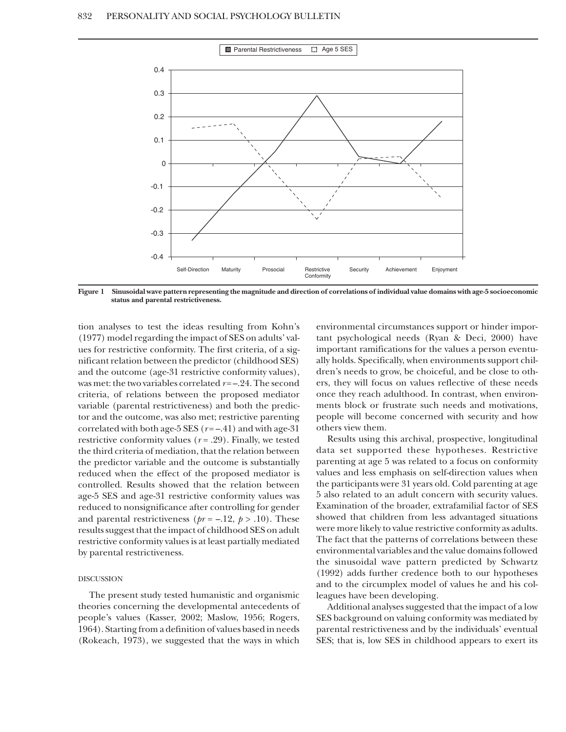

**Figure 1 Sinusoidal wave pattern representing the magnitude and direction of correlations of individual value domains with age-5 socioeconomic status and parental restrictiveness.**

tion analyses to test the ideas resulting from Kohn's (1977) model regarding the impact of SES on adults' values for restrictive conformity. The first criteria, of a significant relation between the predictor (childhood SES) and the outcome (age-31 restrictive conformity values), was met: the two variables correlated  $r=-.24$ . The second criteria, of relations between the proposed mediator variable (parental restrictiveness) and both the predictor and the outcome, was also met; restrictive parenting correlated with both age-5 SES  $(r=-.41)$  and with age-31 restrictive conformity values  $(r = .29)$ . Finally, we tested the third criteria of mediation, that the relation between the predictor variable and the outcome is substantially reduced when the effect of the proposed mediator is controlled. Results showed that the relation between age-5 SES and age-31 restrictive conformity values was reduced to nonsignificance after controlling for gender and parental restrictiveness ( $pr = -.12$ ,  $p > .10$ ). These results suggest that the impact of childhood SES on adult restrictive conformity values is at least partially mediated by parental restrictiveness.

## DISCUSSION

The present study tested humanistic and organismic theories concerning the developmental antecedents of people's values (Kasser, 2002; Maslow, 1956; Rogers, 1964). Starting from a definition of values based in needs (Rokeach, 1973), we suggested that the ways in which

environmental circumstances support or hinder important psychological needs (Ryan & Deci, 2000) have important ramifications for the values a person eventually holds. Specifically, when environments support children's needs to grow, be choiceful, and be close to others, they will focus on values reflective of these needs once they reach adulthood. In contrast, when environments block or frustrate such needs and motivations, people will become concerned with security and how others view them.

Results using this archival, prospective, longitudinal data set supported these hypotheses. Restrictive parenting at age 5 was related to a focus on conformity values and less emphasis on self-direction values when the participants were 31 years old. Cold parenting at age 5 also related to an adult concern with security values. Examination of the broader, extrafamilial factor of SES showed that children from less advantaged situations were more likely to value restrictive conformity as adults. The fact that the patterns of correlations between these environmental variables and the value domains followed the sinusoidal wave pattern predicted by Schwartz (1992) adds further credence both to our hypotheses and to the circumplex model of values he and his colleagues have been developing.

Additional analyses suggested that the impact of a low SES background on valuing conformity was mediated by parental restrictiveness and by the individuals' eventual SES; that is, low SES in childhood appears to exert its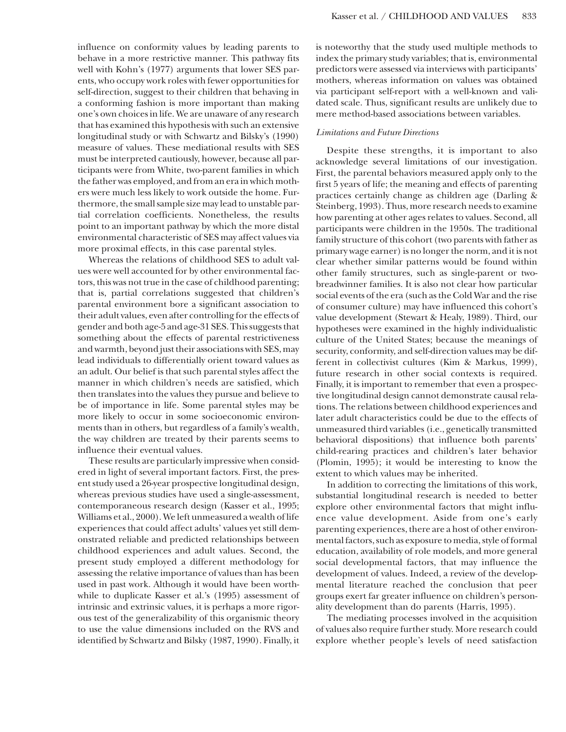influence on conformity values by leading parents to behave in a more restrictive manner. This pathway fits well with Kohn's (1977) arguments that lower SES parents, who occupy work roles with fewer opportunities for self-direction, suggest to their children that behaving in a conforming fashion is more important than making one's own choices in life. We are unaware of any research that has examined this hypothesis with such an extensive longitudinal study or with Schwartz and Bilsky's (1990) measure of values. These mediational results with SES must be interpreted cautiously, however, because all participants were from White, two-parent families in which the father was employed, and from an era in which mothers were much less likely to work outside the home. Furthermore, the small sample size may lead to unstable partial correlation coefficients. Nonetheless, the results point to an important pathway by which the more distal environmental characteristic of SES may affect values via more proximal effects, in this case parental styles.

Whereas the relations of childhood SES to adult values were well accounted for by other environmental factors, this was not true in the case of childhood parenting; that is, partial correlations suggested that children's parental environment bore a significant association to their adult values, even after controlling for the effects of gender and both age-5 and age-31 SES. This suggests that something about the effects of parental restrictiveness and warmth, beyond just their associations with SES, may lead individuals to differentially orient toward values as an adult. Our belief is that such parental styles affect the manner in which children's needs are satisfied, which then translates into the values they pursue and believe to be of importance in life. Some parental styles may be more likely to occur in some socioeconomic environments than in others, but regardless of a family's wealth, the way children are treated by their parents seems to influence their eventual values.

These results are particularly impressive when considered in light of several important factors. First, the present study used a 26-year prospective longitudinal design, whereas previous studies have used a single-assessment, contemporaneous research design (Kasser et al., 1995; Williams et al., 2000). We left unmeasured a wealth of life experiences that could affect adults' values yet still demonstrated reliable and predicted relationships between childhood experiences and adult values. Second, the present study employed a different methodology for assessing the relative importance of values than has been used in past work. Although it would have been worthwhile to duplicate Kasser et al.'s (1995) assessment of intrinsic and extrinsic values, it is perhaps a more rigorous test of the generalizability of this organismic theory to use the value dimensions included on the RVS and identified by Schwartz and Bilsky (1987, 1990). Finally, it

is noteworthy that the study used multiple methods to index the primary study variables; that is, environmental predictors were assessed via interviews with participants' mothers, whereas information on values was obtained via participant self-report with a well-known and validated scale. Thus, significant results are unlikely due to mere method-based associations between variables.

## *Limitations and Future Directions*

Despite these strengths, it is important to also acknowledge several limitations of our investigation. First, the parental behaviors measured apply only to the first 5 years of life; the meaning and effects of parenting practices certainly change as children age (Darling & Steinberg, 1993). Thus, more research needs to examine how parenting at other ages relates to values. Second, all participants were children in the 1950s. The traditional family structure of this cohort (two parents with father as primary wage earner) is no longer the norm, and it is not clear whether similar patterns would be found within other family structures, such as single-parent or twobreadwinner families. It is also not clear how particular social events of the era (such as the Cold War and the rise of consumer culture) may have influenced this cohort's value development (Stewart & Healy, 1989). Third, our hypotheses were examined in the highly individualistic culture of the United States; because the meanings of security, conformity, and self-direction values may be different in collectivist cultures (Kim & Markus, 1999), future research in other social contexts is required. Finally, it is important to remember that even a prospective longitudinal design cannot demonstrate causal relations. The relations between childhood experiences and later adult characteristics could be due to the effects of unmeasured third variables (i.e., genetically transmitted behavioral dispositions) that influence both parents' child-rearing practices and children's later behavior (Plomin, 1995); it would be interesting to know the extent to which values may be inherited.

In addition to correcting the limitations of this work, substantial longitudinal research is needed to better explore other environmental factors that might influence value development. Aside from one's early parenting experiences, there are a host of other environmental factors, such as exposure to media, style of formal education, availability of role models, and more general social developmental factors, that may influence the development of values. Indeed, a review of the developmental literature reached the conclusion that peer groups exert far greater influence on children's personality development than do parents (Harris, 1995).

The mediating processes involved in the acquisition of values also require further study. More research could explore whether people's levels of need satisfaction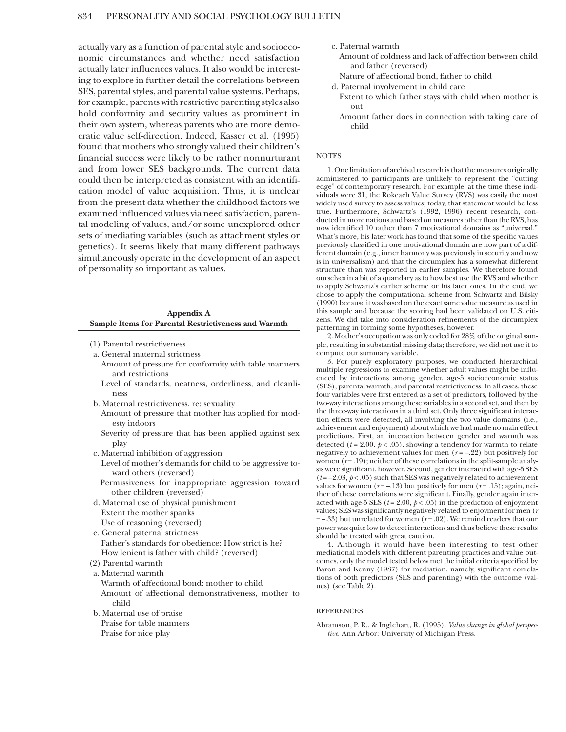actually vary as a function of parental style and socioeconomic circumstances and whether need satisfaction actually later influences values. It also would be interesting to explore in further detail the correlations between SES, parental styles, and parental value systems. Perhaps, for example, parents with restrictive parenting styles also hold conformity and security values as prominent in their own system, whereas parents who are more democratic value self-direction. Indeed, Kasser et al. (1995) found that mothers who strongly valued their children's financial success were likely to be rather nonnurturant and from lower SES backgrounds. The current data could then be interpreted as consistent with an identification model of value acquisition. Thus, it is unclear from the present data whether the childhood factors we examined influenced values via need satisfaction, parental modeling of values, and/or some unexplored other sets of mediating variables (such as attachment styles or genetics). It seems likely that many different pathways simultaneously operate in the development of an aspect of personality so important as values.

## **Appendix A Sample Items for Parental Restrictiveness and Warmth**

- (1) Parental restrictiveness
- a. General maternal strictness
	- Amount of pressure for conformity with table manners and restrictions
	- Level of standards, neatness, orderliness, and cleanliness
- b. Maternal restrictiveness, re: sexuality
	- Amount of pressure that mother has applied for modesty indoors
	- Severity of pressure that has been applied against sex play
- c. Maternal inhibition of aggression

Level of mother's demands for child to be aggressive toward others (reversed)

- Permissiveness for inappropriate aggression toward other children (reversed)
- d. Maternal use of physical punishment Extent the mother spanks Use of reasoning (reversed)
- e. General paternal strictness Father's standards for obedience: How strict is he? How lenient is father with child? (reversed)
- (2) Parental warmth
- a. Maternal warmth
	- Warmth of affectional bond: mother to child Amount of affectional demonstrativeness, mother to child
- b. Maternal use of praise Praise for table manners Praise for nice play
- c. Paternal warmth
- Amount of coldness and lack of affection between child and father (reversed)
- Nature of affectional bond, father to child
- d. Paternal involvement in child care Extent to which father stays with child when mother is out
	- Amount father does in connection with taking care of child

#### NOTES

1. One limitation of archival research is that the measures originally administered to participants are unlikely to represent the "cutting edge" of contemporary research. For example, at the time these individuals were 31, the Rokeach Value Survey (RVS) was easily the most widely used survey to assess values; today, that statement would be less true. Furthermore, Schwartz's (1992, 1996) recent research, conducted in more nations and based on measures other than the RVS, has now identified 10 rather than 7 motivational domains as "universal." What's more, his later work has found that some of the specific values previously classified in one motivational domain are now part of a different domain (e.g., inner harmony was previously in security and now is in universalism) and that the circumplex has a somewhat different structure than was reported in earlier samples. We therefore found ourselves in a bit of a quandary as to how best use the RVS and whether to apply Schwartz's earlier scheme or his later ones. In the end, we chose to apply the computational scheme from Schwartz and Bilsky (1990) because it was based on the exact same value measure as used in this sample and because the scoring had been validated on U.S. citizens. We did take into consideration refinements of the circumplex patterning in forming some hypotheses, however.

2. Mother's occupation was only coded for 28% of the original sample, resulting in substantial missing data; therefore, we did not use it to compute our summary variable.

3. For purely exploratory purposes, we conducted hierarchical multiple regressions to examine whether adult values might be influenced by interactions among gender, age-5 socioeconomic status (SES), parental warmth, and parental restrictiveness. In all cases, these four variables were first entered as a set of predictors, followed by the two-way interactions among these variables in a second set, and then by the three-way interactions in a third set. Only three significant interaction effects were detected, all involving the two value domains (i.e., achievement and enjoyment) about which we had made no main effect predictions. First, an interaction between gender and warmth was detected ( $t = 2.00$ ,  $p < .05$ ), showing a tendency for warmth to relate negatively to achievement values for men  $(r = -.22)$  but positively for women  $(r=19)$ ; neither of these correlations in the split-sample analysis were significant, however. Second, gender interacted with age-5 SES  $(t = -2.03, p < .05)$  such that SES was negatively related to achievement values for women  $(r = -.13)$  but positively for men  $(r = .15)$ ; again, neither of these correlations were significant. Finally, gender again interacted with age-5 SES ( $t = 2.00$ ,  $p < .05$ ) in the prediction of enjoyment values; SES was significantly negatively related to enjoyment for men (*r*  $=$  –.33) but unrelated for women ( $r = .02$ ). We remind readers that our power was quite low to detect interactions and thus believe these results should be treated with great caution.

4. Although it would have been interesting to test other mediational models with different parenting practices and value outcomes, only the model tested below met the initial criteria specified by Baron and Kenny (1987) for mediation, namely, significant correlations of both predictors (SES and parenting) with the outcome (values) (see Table 2).

#### **REFERENCES**

Abramson, P. R., & Inglehart, R. (1995). *Value change in global perspective*. Ann Arbor: University of Michigan Press.